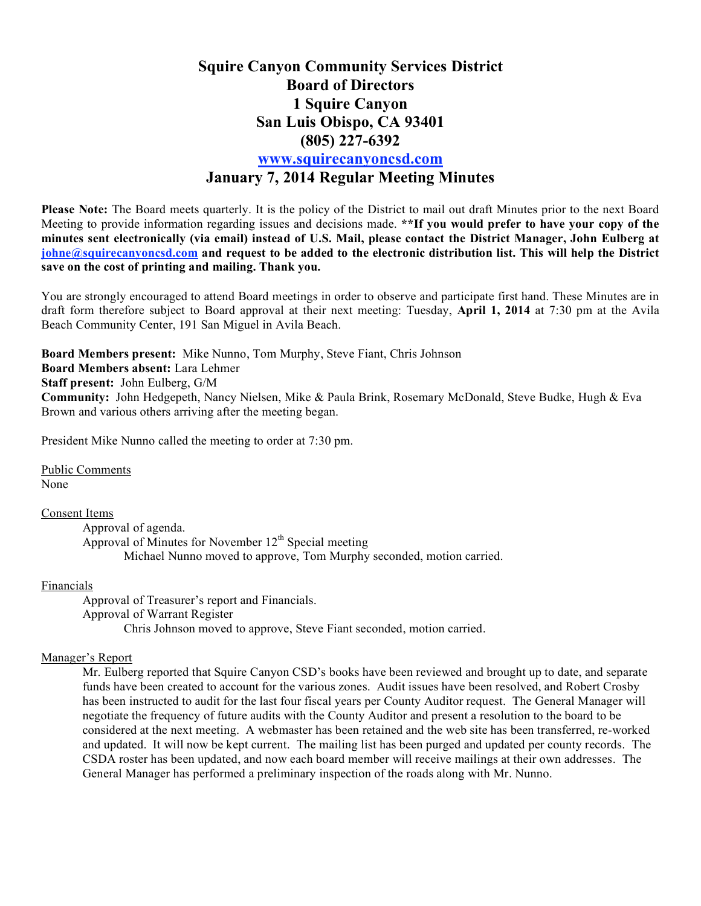### **Squire Canyon Community Services District Board of Directors 1 Squire Canyon San Luis Obispo, CA 93401 (805) 227-6392 www.squirecanyoncsd.com January 7, 2014 Regular Meeting Minutes**

**Please Note:** The Board meets quarterly. It is the policy of the District to mail out draft Minutes prior to the next Board Meeting to provide information regarding issues and decisions made. **\*\*If you would prefer to have your copy of the minutes sent electronically (via email) instead of U.S. Mail, please contact the District Manager, John Eulberg at johne@squirecanyoncsd.com and request to be added to the electronic distribution list. This will help the District save on the cost of printing and mailing. Thank you.** 

You are strongly encouraged to attend Board meetings in order to observe and participate first hand. These Minutes are in draft form therefore subject to Board approval at their next meeting: Tuesday, **April 1, 2014** at 7:30 pm at the Avila Beach Community Center, 191 San Miguel in Avila Beach.

**Board Members present:** Mike Nunno, Tom Murphy, Steve Fiant, Chris Johnson **Board Members absent:** Lara Lehmer **Staff present:** John Eulberg, G/M **Community:** John Hedgepeth, Nancy Nielsen, Mike & Paula Brink, Rosemary McDonald, Steve Budke, Hugh & Eva Brown and various others arriving after the meeting began.

President Mike Nunno called the meeting to order at 7:30 pm.

Public Comments None

Consent Items

Approval of agenda. Approval of Minutes for November  $12<sup>th</sup>$  Special meeting Michael Nunno moved to approve, Tom Murphy seconded, motion carried.

#### Financials

Approval of Treasurer's report and Financials. Approval of Warrant Register Chris Johnson moved to approve, Steve Fiant seconded, motion carried.

#### Manager's Report

Mr. Eulberg reported that Squire Canyon CSD's books have been reviewed and brought up to date, and separate funds have been created to account for the various zones. Audit issues have been resolved, and Robert Crosby has been instructed to audit for the last four fiscal years per County Auditor request. The General Manager will negotiate the frequency of future audits with the County Auditor and present a resolution to the board to be considered at the next meeting. A webmaster has been retained and the web site has been transferred, re-worked and updated. It will now be kept current. The mailing list has been purged and updated per county records. The CSDA roster has been updated, and now each board member will receive mailings at their own addresses. The General Manager has performed a preliminary inspection of the roads along with Mr. Nunno.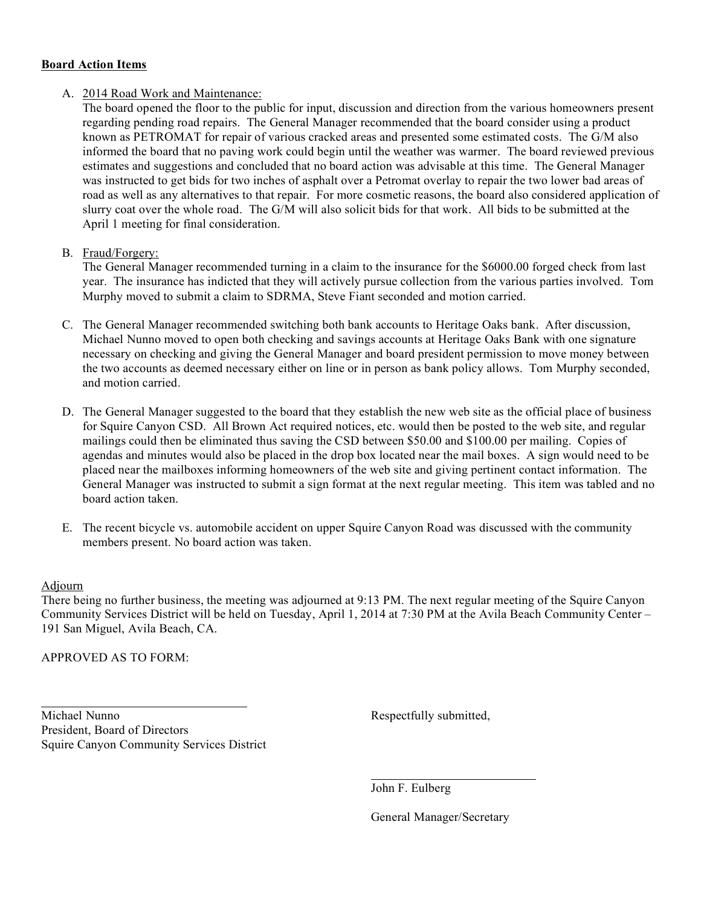#### **Board Action Items**

#### A. 2014 Road Work and Maintenance:

The board opened the floor to the public for input, discussion and direction from the various homeowners present regarding pending road repairs. The General Manager recommended that the board consider using a product known as PETROMAT for repair of various cracked areas and presented some estimated costs. The G/M also informed the board that no paving work could begin until the weather was warmer. The board reviewed previous estimates and suggestions and concluded that no board action was advisable at this time. The General Manager was instructed to get bids for two inches of asphalt over a Petromat overlay to repair the two lower bad areas of road as well as any alternatives to that repair. For more cosmetic reasons, the board also considered application of slurry coat over the whole road. The G/M will also solicit bids for that work. All bids to be submitted at the April 1 meeting for final consideration.

#### B. Fraud/Forgery:

The General Manager recommended turning in a claim to the insurance for the \$6000.00 forged check from last year. The insurance has indicted that they will actively pursue collection from the various parties involved. Tom Murphy moved to submit a claim to SDRMA, Steve Fiant seconded and motion carried.

- C. The General Manager recommended switching both bank accounts to Heritage Oaks bank. After discussion, Michael Nunno moved to open both checking and savings accounts at Heritage Oaks Bank with one signature necessary on checking and giving the General Manager and board president permission to move money between the two accounts as deemed necessary either on line or in person as bank policy allows. Tom Murphy seconded, and motion carried.
- D. The General Manager suggested to the board that they establish the new web site as the official place of business for Squire Canyon CSD. All Brown Act required notices, etc. would then be posted to the web site, and regular mailings could then be eliminated thus saving the CSD between \$50.00 and \$100.00 per mailing. Copies of agendas and minutes would also be placed in the drop box located near the mail boxes. A sign would need to be placed near the mailboxes informing homeowners of the web site and giving pertinent contact information. The General Manager was instructed to submit a sign format at the next regular meeting. This item was tabled and no board action taken.
- E. The recent bicycle vs. automobile accident on upper Squire Canyon Road was discussed with the community members present. No board action was taken.

#### Adjourn

There being no further business, the meeting was adjourned at 9:13 PM. The next regular meeting of the Squire Canyon Community Services District will be held on Tuesday, April 1, 2014 at 7:30 PM at the Avila Beach Community Center – 191 San Miguel, Avila Beach, CA.

APPROVED AS TO FORM:

Michael Nunno Respectfully submitted, President, Board of Directors Squire Canyon Community Services District

John F. Eulberg

General Manager/Secretary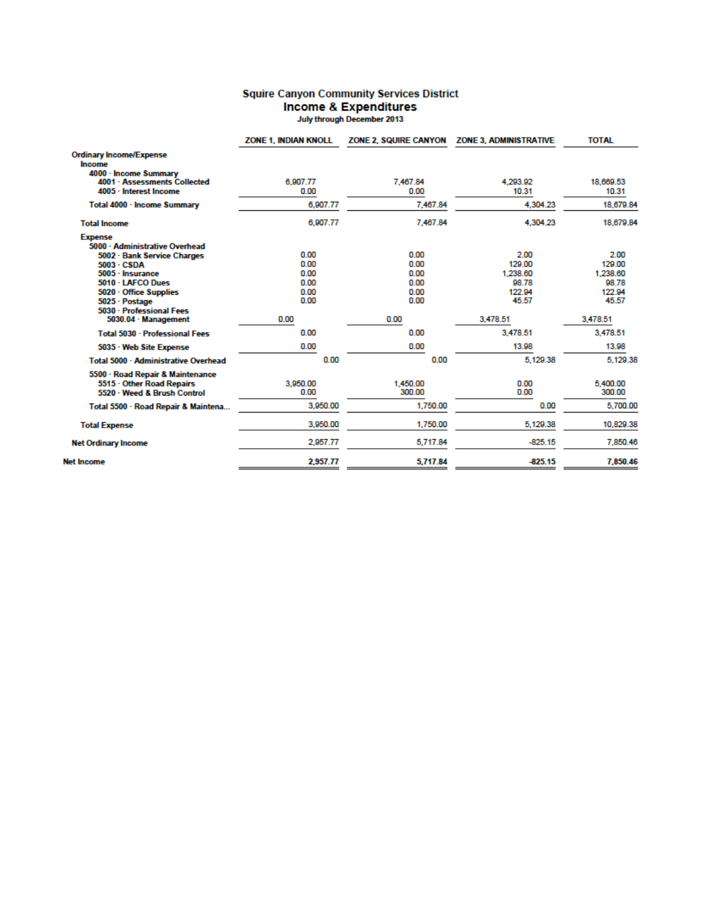## **Squire Canyon Community Services District Income & Expenditures**<br>July through December 2013

|                                                                                              | <b>ZONE 1. INDIAN KNOLL</b> |                      | ZONE 2, SQUIRE CANYON     ZONE 3, ADMINISTRATIVE | <b>TOTAL</b>               |
|----------------------------------------------------------------------------------------------|-----------------------------|----------------------|--------------------------------------------------|----------------------------|
| <b>Ordinary Income/Expense</b><br>Income                                                     |                             |                      |                                                  |                            |
| 4000 - Income Summary<br>4001 · Assessments Collected<br>4005 - Interest Income              | 6.907.77<br>0.00            | 7.467.84<br>0.00     | 4.293.92<br>10.31                                | 18,669.53<br>10.31         |
| Total 4000 - Income Summary                                                                  | 6,907.77                    | 7,467.84             | 4,304.23                                         | 18,679.84                  |
| <b>Total Income</b>                                                                          | 6,907.77                    | 7.467.84             | 4.304.23                                         | 18,679.84                  |
| <b>Expense</b><br>5000 - Administrative Overhead                                             |                             |                      |                                                  |                            |
| 5002 · Bank Service Charges<br>5003 - CSDA<br>5005 - Insurance                               | 0.00<br>0.00<br>0.00        | 0.00<br>0.00<br>0.00 | 2.00<br>129.00<br>1,238.60                       | 2.00<br>129.00<br>1,238.60 |
| 5010 - LAFCO Dues<br>5020 · Office Supplies<br>5025 · Postage<br>5030 - Professional Fees    | 0.00<br>0.00<br>0.00        | 0.00<br>0.00<br>0.00 | 98.78<br>122.94<br>45.57                         | 98.78<br>122.94<br>45.57   |
| 5030.04 - Management                                                                         | 0.00                        | 0.00                 | 3.478.51                                         | 3.478.51                   |
| Total 5030 - Professional Fees                                                               | 0.00                        | 0.00                 | 3.478.51                                         | 3,478.51                   |
| 5035 - Web Site Expense                                                                      | 0.00                        | 0.00                 | 13.98                                            | 13.98                      |
| Total 5000 - Administrative Overhead                                                         | 0.00                        | 0.00                 | 5.129.38                                         | 5.129.38                   |
| 5500 - Road Repair & Maintenance<br>5515 - Other Road Repairs<br>5520 · Weed & Brush Control | 3.950.00<br>0.00            | 1.450.00<br>300.00   | 0.00<br>0.00                                     | 5.400.00<br>300.00         |
| Total 5500 - Road Repair & Maintena                                                          | 3,950.00                    | 1,750.00             | 0.00                                             | 5,700.00                   |
| <b>Total Expense</b>                                                                         | 3.950.00                    | 1.750.00             | 5.129.38                                         | 10.829.38                  |
| <b>Net Ordinary Income</b>                                                                   | 2.957.77                    | 5,717.84             | $-825.15$                                        | 7.850.46                   |
| <b>Net Income</b>                                                                            | 2,957.77                    | 5,717.84             | $-825.15$                                        | 7.850.46                   |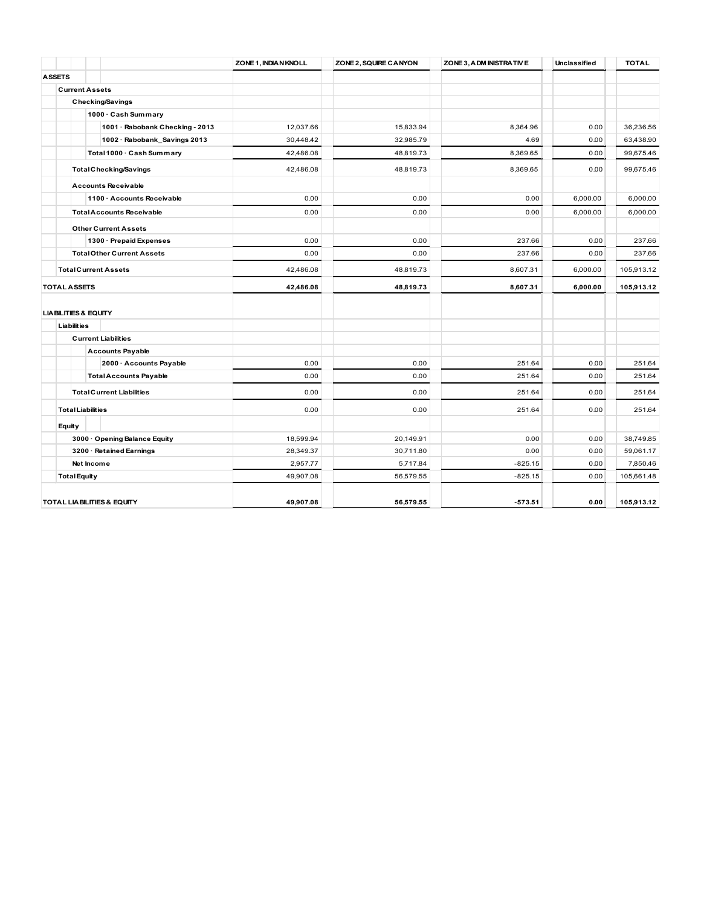|               |                                   | ZONE 1, INDIA N KNOLL | ZONE 2, SQUIRE CANYON | ZONE 3, ADM INISTRATIVE | Unclassified | <b>TOTAL</b> |
|---------------|-----------------------------------|-----------------------|-----------------------|-------------------------|--------------|--------------|
| <b>ASSETS</b> |                                   |                       |                       |                         |              |              |
|               | <b>Current Assets</b>             |                       |                       |                         |              |              |
|               | <b>Checking/Savings</b>           |                       |                       |                         |              |              |
|               | 1000 · Cash Summary               |                       |                       |                         |              |              |
|               | 1001 · Rabobank Checking - 2013   | 12,037.66             | 15,833.94             | 8,364.96                | 0.00         | 36,236.56    |
|               | 1002 · Rabobank_Savings 2013      | 30,448.42             | 32,985.79             | 4.69                    | 0.00         | 63,438.90    |
|               | Total 1000 · Cash Summary         | 42,486.08             | 48,819.73             | 8,369.65                | 0.00         | 99,675.46    |
|               | <b>Total Checking/Savings</b>     | 42,486.08             | 48,819.73             | 8,369.65                | 0.00         | 99,675.46    |
|               | <b>Accounts Receivable</b>        |                       |                       |                         |              |              |
|               | 1100 · Accounts Receivable        | 0.00                  | 0.00                  | 0.00                    | 6,000.00     | 6,000.00     |
|               | <b>Total Accounts Receivable</b>  | 0.00                  | 0.00                  | 0.00                    | 6,000.00     | 6,000.00     |
|               | <b>Other Current Assets</b>       |                       |                       |                         |              |              |
|               | 1300 · Prepaid Expenses           | 0.00                  | 0.00                  | 237.66                  | 0.00         | 237.66       |
|               | <b>Total Other Current Assets</b> | 0.00                  | 0.00                  | 237.66                  | 0.00         | 237.66       |
|               | <b>Total Current Assets</b>       | 42,486.08             | 48,819.73             | 8,607.31                | 6,000.00     | 105,913.12   |
|               | <b>TOTAL ASSETS</b>               | 42,486.08             | 48,819.73             | 8,607.31                | 6,000.00     | 105,913.12   |
|               | <b>LIA BILITIES &amp; EQUITY</b>  |                       |                       |                         |              |              |
|               | Liabilities                       |                       |                       |                         |              |              |
|               | <b>Current Liabilities</b>        |                       |                       |                         |              |              |
|               | <b>Accounts Payable</b>           |                       |                       |                         |              |              |
|               | 2000 · Accounts Payable           | 0.00                  | 0.00                  | 251.64                  | 0.00         | 251.64       |
|               | <b>Total Accounts Payable</b>     | 0.00                  | 0.00                  | 251.64                  | 0.00         | 251.64       |
|               | <b>Total Current Liabilities</b>  | 0.00                  | 0.00                  | 251.64                  | 0.00         | 251.64       |
|               | <b>Total Liabilities</b>          | 0.00                  | 0.00                  | 251.64                  | 0.00         | 251.64       |
|               | Equity                            |                       |                       |                         |              |              |
|               | 3000 · Opening Balance Equity     | 18,599.94             | 20,149.91             | 0.00                    | 0.00         | 38,749.85    |
|               | 3200 · Retained Earnings          | 28,349.37             | 30,711.80             | 0.00                    | 0.00         | 59,061.17    |
|               | Net Income                        | 2,957.77              | 5,717.84              | $-825.15$               | 0.00         | 7,850.46     |
|               | <b>Total Equity</b>               | 49,907.08             | 56,579.55             | $-825.15$               | 0.00         | 105,661.48   |
|               | TOTAL LIABILITIES & EQUITY        | 49,907.08             | 56,579.55             | $-573.51$               | 0.00         | 105,913.12   |